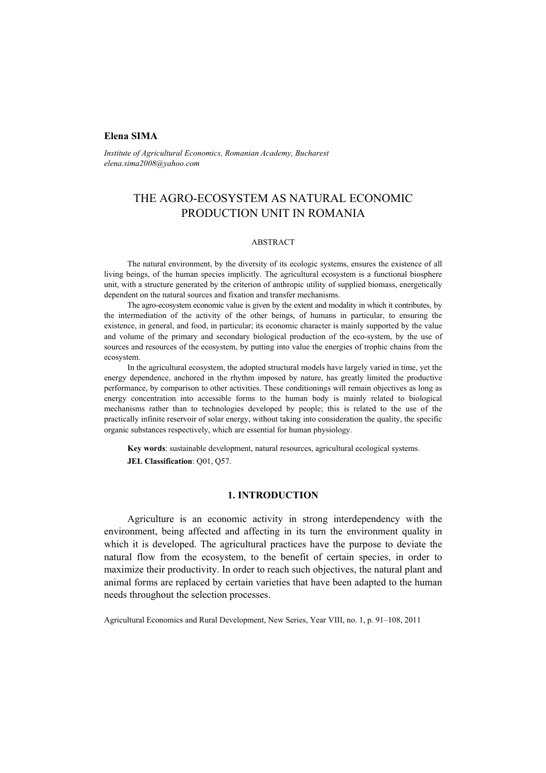# **Elena SIMA**

*Institute of Agricultural Economics, Romanian Academy, Bucharest elena.sima2008@yahoo.com* 

# THE AGRO-ECOSYSTEM AS NATURAL ECONOMIC PRODUCTION UNIT IN ROMANIA

#### ABSTRACT

The natural environment, by the diversity of its ecologic systems, ensures the existence of all living beings, of the human species implicitly. The agricultural ecosystem is a functional biosphere unit, with a structure generated by the criterion of anthropic utility of supplied biomass, energetically dependent on the natural sources and fixation and transfer mechanisms.

The agro-ecosystem economic value is given by the extent and modality in which it contributes, by the intermediation of the activity of the other beings, of humans in particular, to ensuring the existence, in general, and food, in particular; its economic character is mainly supported by the value and volume of the primary and secondary biological production of the eco-system, by the use of sources and resources of the ecosystem, by putting into value the energies of trophic chains from the ecosystem.

In the agricultural ecosystem, the adopted structural models have largely varied in time, yet the energy dependence, anchored in the rhythm imposed by nature, has greatly limited the productive performance, by comparison to other activities. These conditionings will remain objectives as long as energy concentration into accessible forms to the human body is mainly related to biological mechanisms rather than to technologies developed by people; this is related to the use of the practically infinite reservoir of solar energy, without taking into consideration the quality, the specific organic substances respectively, which are essential for human physiology.

**Key words**: sustainable development, natural resources, agricultural ecological systems. **JEL Classification**: Q01, Q57.

### **1. INTRODUCTION**

Agriculture is an economic activity in strong interdependency with the environment, being affected and affecting in its turn the environment quality in which it is developed. The agricultural practices have the purpose to deviate the natural flow from the ecosystem, to the benefit of certain species, in order to maximize their productivity. In order to reach such objectives, the natural plant and animal forms are replaced by certain varieties that have been adapted to the human needs throughout the selection processes.

Agricultural Economics and Rural Development, New Series, Year VIII, no. 1, p. 91–108, 2011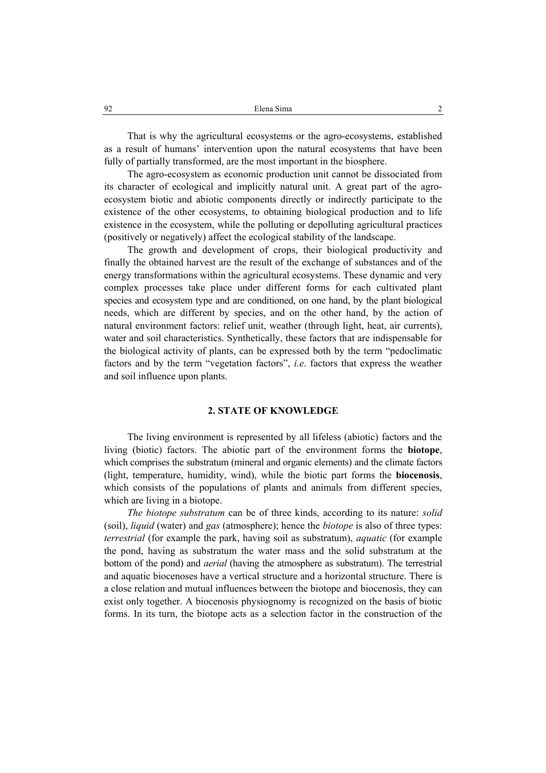That is why the agricultural ecosystems or the agro-ecosystems, established as a result of humans' intervention upon the natural ecosystems that have been fully of partially transformed, are the most important in the biosphere.

The agro-ecosystem as economic production unit cannot be dissociated from its character of ecological and implicitly natural unit. A great part of the agroecosystem biotic and abiotic components directly or indirectly participate to the existence of the other ecosystems, to obtaining biological production and to life existence in the ecosystem, while the polluting or depolluting agricultural practices (positively or negatively) affect the ecological stability of the landscape.

The growth and development of crops, their biological productivity and finally the obtained harvest are the result of the exchange of substances and of the energy transformations within the agricultural ecosystems. These dynamic and very complex processes take place under different forms for each cultivated plant species and ecosystem type and are conditioned, on one hand, by the plant biological needs, which are different by species, and on the other hand, by the action of natural environment factors: relief unit, weather (through light, heat, air currents), water and soil characteristics. Synthetically, these factors that are indispensable for the biological activity of plants, can be expressed both by the term "pedoclimatic factors and by the term "vegetation factors", *i.e*. factors that express the weather and soil influence upon plants.

### **2. STATE OF KNOWLEDGE**

The living environment is represented by all lifeless (abiotic) factors and the living (biotic) factors. The abiotic part of the environment forms the **biotope**, which comprises the substratum (mineral and organic elements) and the climate factors (light, temperature, humidity, wind), while the biotic part forms the **biocenosis**, which consists of the populations of plants and animals from different species, which are living in a biotope.

*The biotope substratum* can be of three kinds, according to its nature: *solid*  (soil), *liquid* (water) and *gas* (atmosphere); hence the *biotope* is also of three types: *terrestrial* (for example the park, having soil as substratum), *aquatic* (for example the pond, having as substratum the water mass and the solid substratum at the bottom of the pond) and *aerial* (having the atmosphere as substratum). The terrestrial and aquatic biocenoses have a vertical structure and a horizontal structure. There is a close relation and mutual influences between the biotope and biocenosis, they can exist only together. A biocenosis physiognomy is recognized on the basis of biotic forms. In its turn, the biotope acts as a selection factor in the construction of the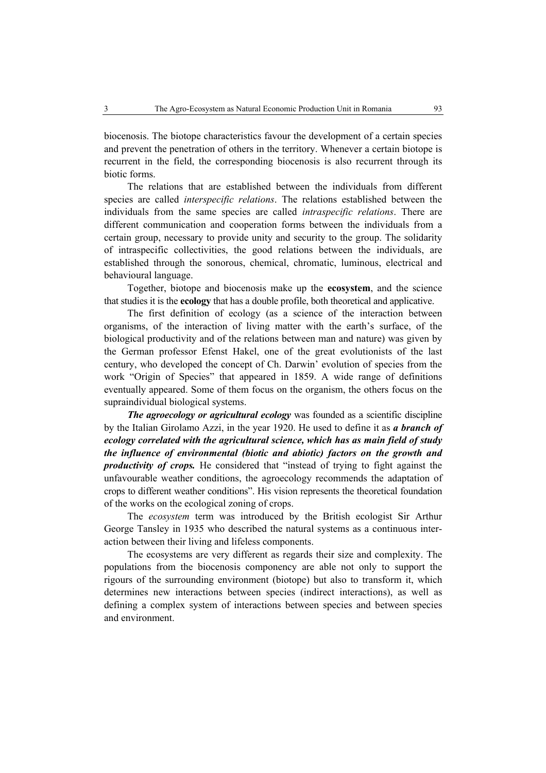biocenosis. The biotope characteristics favour the development of a certain species and prevent the penetration of others in the territory. Whenever a certain biotope is recurrent in the field, the corresponding biocenosis is also recurrent through its biotic forms.

The relations that are established between the individuals from different species are called *interspecific relations*. The relations established between the individuals from the same species are called *intraspecific relations*. There are different communication and cooperation forms between the individuals from a certain group, necessary to provide unity and security to the group. The solidarity of intraspecific collectivities, the good relations between the individuals, are established through the sonorous, chemical, chromatic, luminous, electrical and behavioural language.

Together, biotope and biocenosis make up the **ecosystem**, and the science that studies it is the **ecology** that has a double profile, both theoretical and applicative.

The first definition of ecology (as a science of the interaction between organisms, of the interaction of living matter with the earth's surface, of the biological productivity and of the relations between man and nature) was given by the German professor Efenst Hakel, one of the great evolutionists of the last century, who developed the concept of Ch. Darwin' evolution of species from the work "Origin of Species" that appeared in 1859. A wide range of definitions eventually appeared. Some of them focus on the organism, the others focus on the supraindividual biological systems.

*The agroecology or agricultural ecology* was founded as a scientific discipline by the Italian Girolamo Azzi, in the year 1920. He used to define it as *a branch of ecology correlated with the agricultural science, which has as main field of study the influence of environmental (biotic and abiotic) factors on the growth and productivity of crops.* He considered that "instead of trying to fight against the unfavourable weather conditions, the agroecology recommends the adaptation of crops to different weather conditions". His vision represents the theoretical foundation of the works on the ecological zoning of crops.

The *ecosystem* term was introduced by the British ecologist Sir Arthur George Tansley in 1935 who described the natural systems as a continuous interaction between their living and lifeless components.

The ecosystems are very different as regards their size and complexity. The populations from the biocenosis componency are able not only to support the rigours of the surrounding environment (biotope) but also to transform it, which determines new interactions between species (indirect interactions), as well as defining a complex system of interactions between species and between species and environment.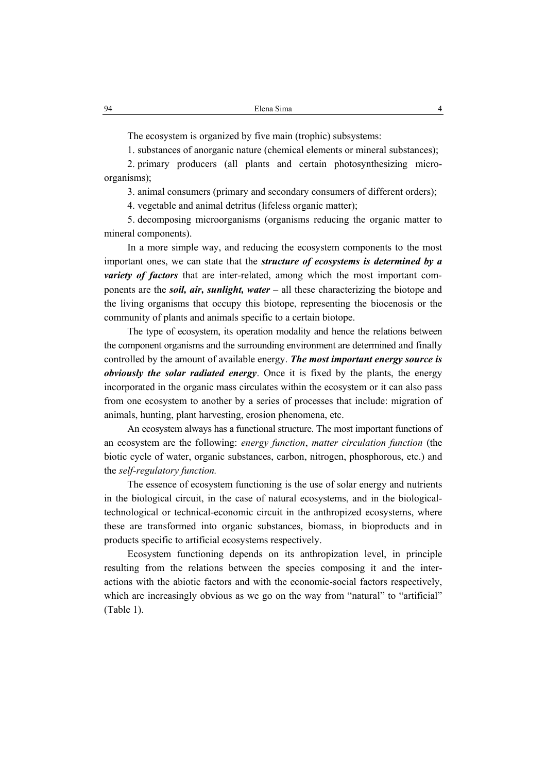The ecosystem is organized by five main (trophic) subsystems:

1. substances of anorganic nature (chemical elements or mineral substances);

2. primary producers (all plants and certain photosynthesizing microorganisms);

3. animal consumers (primary and secondary consumers of different orders);

4. vegetable and animal detritus (lifeless organic matter);

5. decomposing microorganisms (organisms reducing the organic matter to mineral components).

In a more simple way, and reducing the ecosystem components to the most important ones, we can state that the *structure of ecosystems is determined by a variety of factors* that are inter-related, among which the most important components are the *soil, air, sunlight, water* – all these characterizing the biotope and the living organisms that occupy this biotope, representing the biocenosis or the community of plants and animals specific to a certain biotope.

The type of ecosystem, its operation modality and hence the relations between the component organisms and the surrounding environment are determined and finally controlled by the amount of available energy. *The most important energy source is obviously the solar radiated energy*. Once it is fixed by the plants, the energy incorporated in the organic mass circulates within the ecosystem or it can also pass from one ecosystem to another by a series of processes that include: migration of animals, hunting, plant harvesting, erosion phenomena, etc.

An ecosystem always has a functional structure. The most important functions of an ecosystem are the following: *energy function*, *matter circulation function* (the biotic cycle of water, organic substances, carbon, nitrogen, phosphorous, etc.) and the *self-regulatory function.* 

The essence of ecosystem functioning is the use of solar energy and nutrients in the biological circuit, in the case of natural ecosystems, and in the biologicaltechnological or technical-economic circuit in the anthropized ecosystems, where these are transformed into organic substances, biomass, in bioproducts and in products specific to artificial ecosystems respectively.

Ecosystem functioning depends on its anthropization level, in principle resulting from the relations between the species composing it and the interactions with the abiotic factors and with the economic-social factors respectively, which are increasingly obvious as we go on the way from "natural" to "artificial" (Table 1).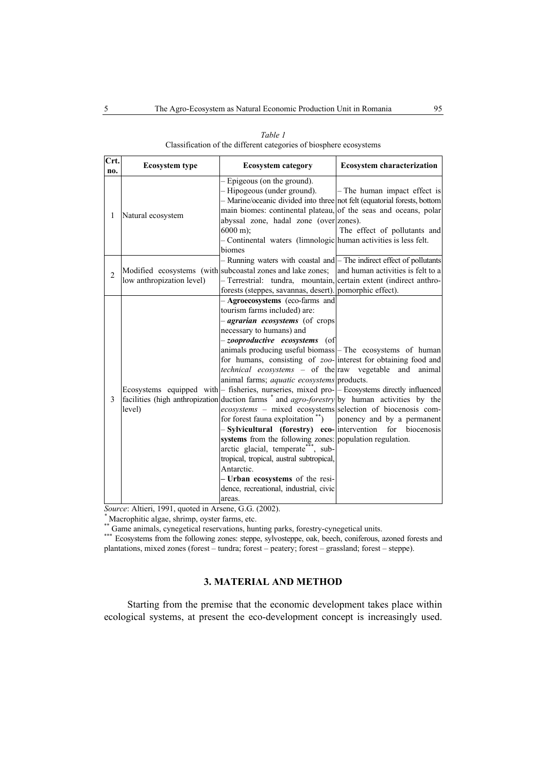| Crt.<br>no.    | <b>Ecosystem type</b>     | <b>Ecosystem category</b>                                                                                                                                                                                                                                                                                                                                                                                                                                                                                                                                                                                                                                                                                                                                                                                                                                                                                                                                                                                                                                                                 | <b>Ecosystem characterization</b>                              |  |  |
|----------------|---------------------------|-------------------------------------------------------------------------------------------------------------------------------------------------------------------------------------------------------------------------------------------------------------------------------------------------------------------------------------------------------------------------------------------------------------------------------------------------------------------------------------------------------------------------------------------------------------------------------------------------------------------------------------------------------------------------------------------------------------------------------------------------------------------------------------------------------------------------------------------------------------------------------------------------------------------------------------------------------------------------------------------------------------------------------------------------------------------------------------------|----------------------------------------------------------------|--|--|
| 1              | Natural ecosystem         | - Epigeous (on the ground).<br>- Hipogeous (under ground).<br>- Marine/oceanic divided into three not felt (equatorial forests, bottom<br>main biomes: continental plateau, of the seas and oceans, polar<br>abyssal zone, hadal zone (over zones).<br>$6000 \text{ m}$ ;<br>- Continental waters (limnologic human activities is less felt.<br>biomes                                                                                                                                                                                                                                                                                                                                                                                                                                                                                                                                                                                                                                                                                                                                    | $-$ The human impact effect is<br>The effect of pollutants and |  |  |
| $\overline{2}$ | low anthropization level) | - Running waters with coastal and - The indirect effect of pollutants<br>Modified ecosystems (with subcoastal zones and lake zones; and human activities is felt to a<br>- Terrestrial: tundra, mountain, certain extent (indirect anthro-<br>forests (steppes, savannas, desert). pomorphic effect).                                                                                                                                                                                                                                                                                                                                                                                                                                                                                                                                                                                                                                                                                                                                                                                     |                                                                |  |  |
| 3              | level)                    | - Agroecosystems (eco-farms and<br>tourism farms included) are:<br>- <i>agrarian ecosystems</i> (of crops<br>necessary to humans) and<br>-zooproductive ecosystems (of<br>animals producing useful biomass - The ecosystems of human<br>for humans, consisting of zoo-interest for obtaining food and<br><i>technical</i> ecosystems – of the raw vegetable and animal<br>animal farms; <i>aquatic ecosystems</i> products.<br>Ecosystems equipped with - fisheries, nurseries, mixed pro- - Ecosystems directly influenced<br>facilities (high anthropization duction farms * and <i>agro-forestry</i> by human activities by the<br>ecosystems – mixed ecosystems selection of biocenosis com-<br>for forest fauna exploitation $\alpha$ <sup>**</sup> )<br>- Sylvicultural (forestry) eco- intervention for biocenosis<br>systems from the following zones: population regulation.<br>arctic glacial, temperate <sup>***</sup> , sub-<br>tropical, tropical, austral subtropical,<br>Antarctic.<br>- Urban ecosystems of the resi-<br>dence, recreational, industrial, civic<br>areas. | ponency and by a permanent                                     |  |  |

*Table 1*  Classification of the different categories of biosphere ecosystems

*Source*: Altieri, 1991, quoted in Arsene, G.G. (2002).

Macrophitic algae, shrimp, oyster farms, etc.<br>
\*\* Game animals, cynegetical reservations, hunting parks, forestry-cynegetical units.<br>
\*\*\* Ecosystems from the following zones: steppe, sylvosteppe, oak, beech, coniferous, az plantations, mixed zones (forest – tundra; forest – peatery; forest – grassland; forest – steppe).

# **3. MATERIAL AND METHOD**

Starting from the premise that the economic development takes place within ecological systems, at present the eco-development concept is increasingly used.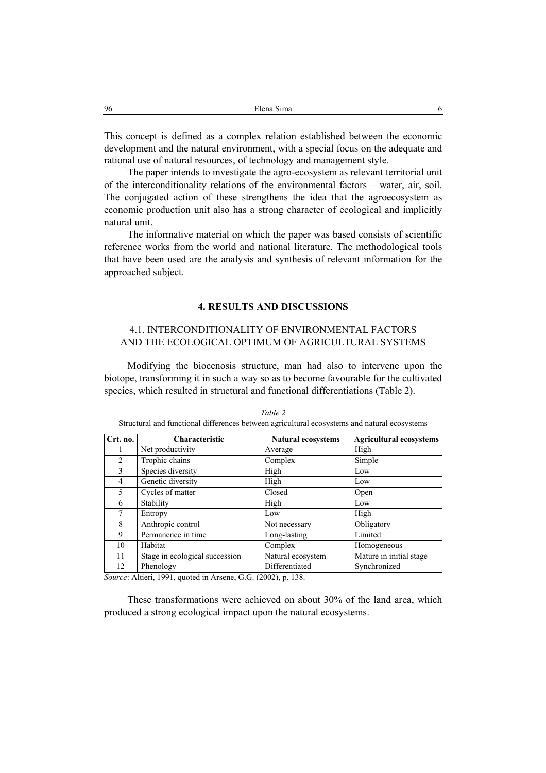This concept is defined as a complex relation established between the economic development and the natural environment, with a special focus on the adequate and rational use of natural resources, of technology and management style.

The paper intends to investigate the agro-ecosystem as relevant territorial unit of the interconditionality relations of the environmental factors – water, air, soil. The conjugated action of these strengthens the idea that the agroecosystem as economic production unit also has a strong character of ecological and implicitly natural unit.

The informative material on which the paper was based consists of scientific reference works from the world and national literature. The methodological tools that have been used are the analysis and synthesis of relevant information for the approached subject.

### **4. RESULTS AND DISCUSSIONS**

# 4.1. INTERCONDITIONALITY OF ENVIRONMENTAL FACTORS AND THE ECOLOGICAL OPTIMUM OF AGRICULTURAL SYSTEMS

Modifying the biocenosis structure, man had also to intervene upon the biotope, transforming it in such a way so as to become favourable for the cultivated species, which resulted in structural and functional differentiations (Table 2).

| Crt. no.       | Characteristic                 | <b>Natural ecosystems</b> | <b>Agricultural ecosystems</b> |  |  |
|----------------|--------------------------------|---------------------------|--------------------------------|--|--|
|                | Net productivity               | Average                   | High                           |  |  |
| $\mathfrak{D}$ | Trophic chains                 | Complex                   | Simple                         |  |  |
| $\mathcal{E}$  | Species diversity              | High                      | Low                            |  |  |
| 4              | Genetic diversity              | High                      | Low                            |  |  |
| 5              | Cycles of matter               | Closed                    | Open                           |  |  |
| 6              | Stability                      | High                      | Low                            |  |  |
|                | Entropy                        | Low                       | High                           |  |  |
| 8              | Anthropic control              | Not necessary             | Obligatory                     |  |  |
| 9              | Permanence in time             | Long-lasting              | Limited                        |  |  |
| 10             | Habitat                        | Complex                   | Homogeneous                    |  |  |
| 11             | Stage in ecological succession | Natural ecosystem         | Mature in initial stage        |  |  |
| 12             | Phenology                      | Differentiated            | Synchronized                   |  |  |

*Table 2*  Structural and functional differences between agricultural ecosystems and natural ecosystems

*Source*: Altieri, 1991, quoted in Arsene, G.G. (2002), p. 138.

These transformations were achieved on about 30% of the land area, which produced a strong ecological impact upon the natural ecosystems.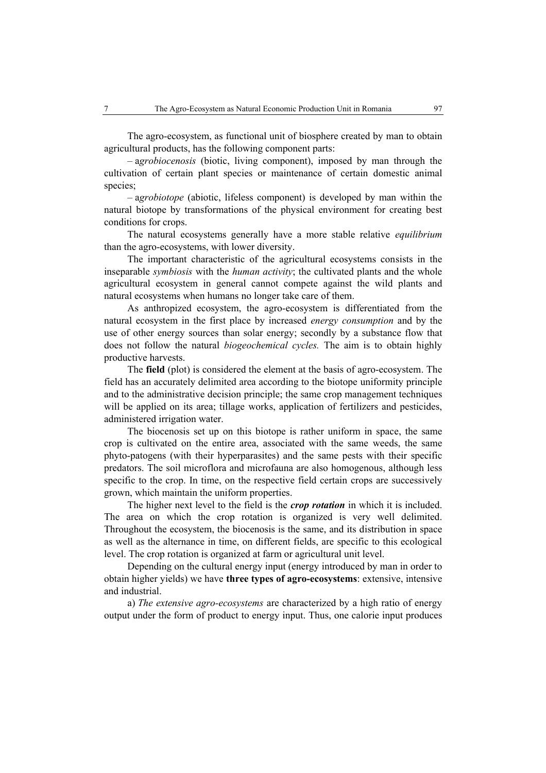The agro-ecosystem, as functional unit of biosphere created by man to obtain agricultural products, has the following component parts:

– a*grobiocenosis* (biotic, living component), imposed by man through the cultivation of certain plant species or maintenance of certain domestic animal species;

– a*grobiotope* (abiotic, lifeless component) is developed by man within the natural biotope by transformations of the physical environment for creating best conditions for crops.

The natural ecosystems generally have a more stable relative *equilibrium*  than the agro-ecosystems, with lower diversity.

The important characteristic of the agricultural ecosystems consists in the inseparable *symbiosis* with the *human activity*; the cultivated plants and the whole agricultural ecosystem in general cannot compete against the wild plants and natural ecosystems when humans no longer take care of them.

As anthropized ecosystem, the agro-ecosystem is differentiated from the natural ecosystem in the first place by increased *energy consumption* and by the use of other energy sources than solar energy; secondly by a substance flow that does not follow the natural *biogeochemical cycles.* The aim is to obtain highly productive harvests.

The **field** (plot) is considered the element at the basis of agro-ecosystem. The field has an accurately delimited area according to the biotope uniformity principle and to the administrative decision principle; the same crop management techniques will be applied on its area; tillage works, application of fertilizers and pesticides, administered irrigation water.

The biocenosis set up on this biotope is rather uniform in space, the same crop is cultivated on the entire area, associated with the same weeds, the same phyto-patogens (with their hyperparasites) and the same pests with their specific predators. The soil microflora and microfauna are also homogenous, although less specific to the crop. In time, on the respective field certain crops are successively grown, which maintain the uniform properties.

The higher next level to the field is the *crop rotation* in which it is included. The area on which the crop rotation is organized is very well delimited. Throughout the ecosystem, the biocenosis is the same, and its distribution in space as well as the alternance in time, on different fields, are specific to this ecological level. The crop rotation is organized at farm or agricultural unit level.

Depending on the cultural energy input (energy introduced by man in order to obtain higher yields) we have **three types of agro-ecosystems**: extensive, intensive and industrial.

a) *The extensive agro-ecosystems* are characterized by a high ratio of energy output under the form of product to energy input. Thus, one calorie input produces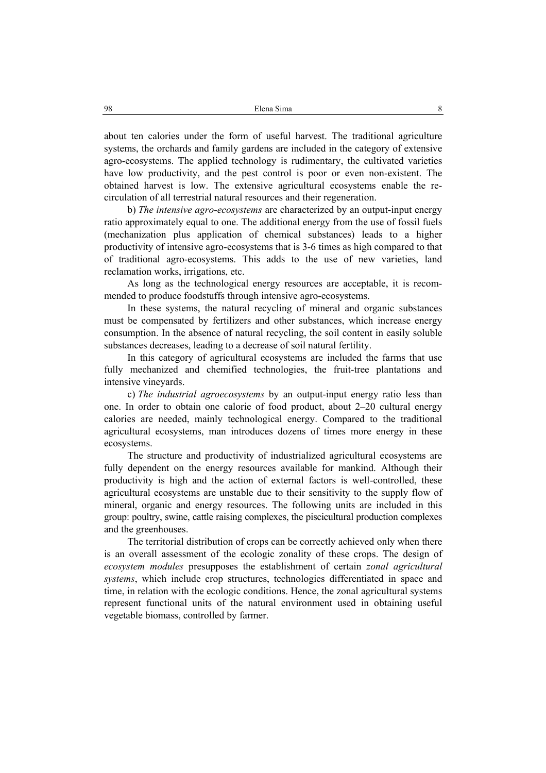about ten calories under the form of useful harvest. The traditional agriculture systems, the orchards and family gardens are included in the category of extensive agro-ecosystems. The applied technology is rudimentary, the cultivated varieties have low productivity, and the pest control is poor or even non-existent. The obtained harvest is low. The extensive agricultural ecosystems enable the recirculation of all terrestrial natural resources and their regeneration.

b) *The intensive agro-ecosystems* are characterized by an output-input energy ratio approximately equal to one. The additional energy from the use of fossil fuels (mechanization plus application of chemical substances) leads to a higher productivity of intensive agro-ecosystems that is 3-6 times as high compared to that of traditional agro-ecosystems. This adds to the use of new varieties, land reclamation works, irrigations, etc.

As long as the technological energy resources are acceptable, it is recommended to produce foodstuffs through intensive agro-ecosystems.

In these systems, the natural recycling of mineral and organic substances must be compensated by fertilizers and other substances, which increase energy consumption. In the absence of natural recycling, the soil content in easily soluble substances decreases, leading to a decrease of soil natural fertility.

In this category of agricultural ecosystems are included the farms that use fully mechanized and chemified technologies, the fruit-tree plantations and intensive vineyards.

c) *The industrial agroecosystems* by an output-input energy ratio less than one. In order to obtain one calorie of food product, about 2–20 cultural energy calories are needed, mainly technological energy. Compared to the traditional agricultural ecosystems, man introduces dozens of times more energy in these ecosystems.

The structure and productivity of industrialized agricultural ecosystems are fully dependent on the energy resources available for mankind. Although their productivity is high and the action of external factors is well-controlled, these agricultural ecosystems are unstable due to their sensitivity to the supply flow of mineral, organic and energy resources. The following units are included in this group: poultry, swine, cattle raising complexes, the piscicultural production complexes and the greenhouses.

The territorial distribution of crops can be correctly achieved only when there is an overall assessment of the ecologic zonality of these crops. The design of *ecosystem modules* presupposes the establishment of certain *zonal agricultural systems*, which include crop structures, technologies differentiated in space and time, in relation with the ecologic conditions. Hence, the zonal agricultural systems represent functional units of the natural environment used in obtaining useful vegetable biomass, controlled by farmer.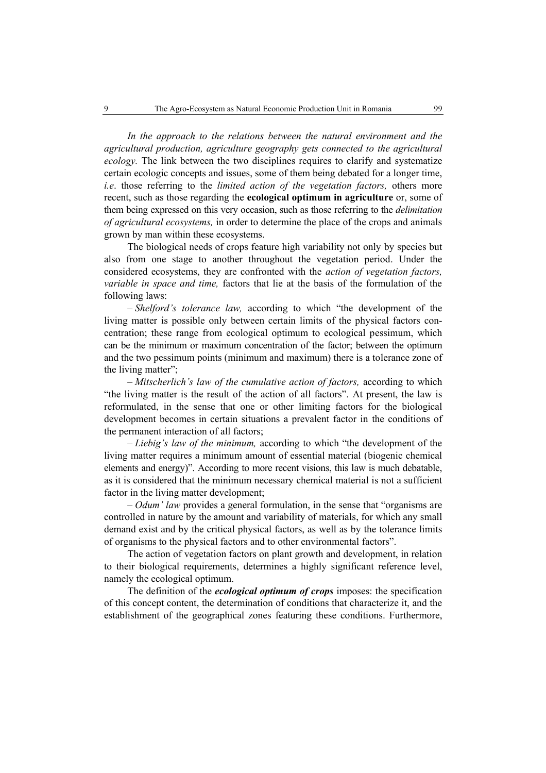*In the approach to the relations between the natural environment and the agricultural production, agriculture geography gets connected to the agricultural ecology.* The link between the two disciplines requires to clarify and systematize certain ecologic concepts and issues, some of them being debated for a longer time, *i.e*. those referring to the *limited action of the vegetation factors,* others more recent, such as those regarding the **ecological optimum in agriculture** or, some of them being expressed on this very occasion, such as those referring to the *delimitation of agricultural ecosystems,* in order to determine the place of the crops and animals grown by man within these ecosystems.

The biological needs of crops feature high variability not only by species but also from one stage to another throughout the vegetation period. Under the considered ecosystems, they are confronted with the *action of vegetation factors, variable in space and time,* factors that lie at the basis of the formulation of the following laws:

– *Shelford's tolerance law,* according to which "the development of the living matter is possible only between certain limits of the physical factors concentration; these range from ecological optimum to ecological pessimum, which can be the minimum or maximum concentration of the factor; between the optimum and the two pessimum points (minimum and maximum) there is a tolerance zone of the living matter";

– *Mitscherlich's law of the cumulative action of factors,* according to which "the living matter is the result of the action of all factors". At present, the law is reformulated, in the sense that one or other limiting factors for the biological development becomes in certain situations a prevalent factor in the conditions of the permanent interaction of all factors;

– *Liebig's law of the minimum,* according to which "the development of the living matter requires a minimum amount of essential material (biogenic chemical elements and energy)". According to more recent visions, this law is much debatable, as it is considered that the minimum necessary chemical material is not a sufficient factor in the living matter development;

– *Odum' law* provides a general formulation, in the sense that "organisms are controlled in nature by the amount and variability of materials, for which any small demand exist and by the critical physical factors, as well as by the tolerance limits of organisms to the physical factors and to other environmental factors".

The action of vegetation factors on plant growth and development, in relation to their biological requirements, determines a highly significant reference level, namely the ecological optimum.

The definition of the *ecological optimum of crops* imposes: the specification of this concept content, the determination of conditions that characterize it, and the establishment of the geographical zones featuring these conditions. Furthermore,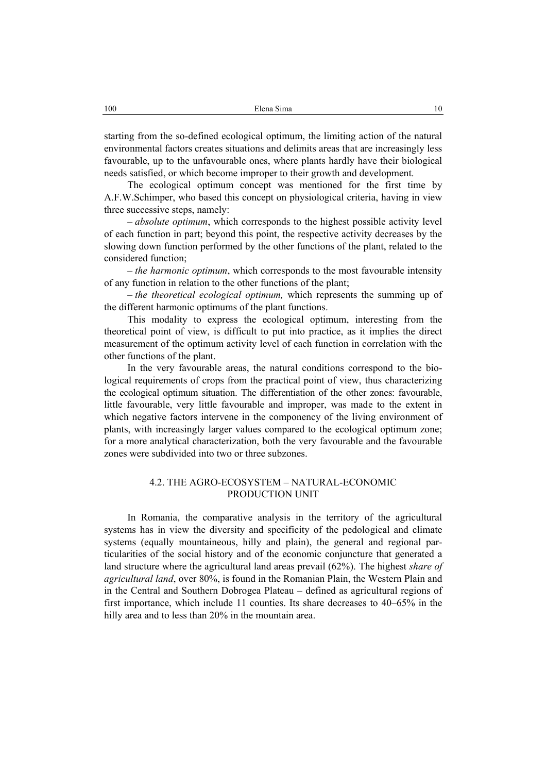starting from the so-defined ecological optimum, the limiting action of the natural environmental factors creates situations and delimits areas that are increasingly less favourable, up to the unfavourable ones, where plants hardly have their biological needs satisfied, or which become improper to their growth and development.

The ecological optimum concept was mentioned for the first time by A.F.W.Schimper, who based this concept on physiological criteria, having in view three successive steps, namely:

*– absolute optimum*, which corresponds to the highest possible activity level of each function in part; beyond this point, the respective activity decreases by the slowing down function performed by the other functions of the plant, related to the considered function;

*– the harmonic optimum*, which corresponds to the most favourable intensity of any function in relation to the other functions of the plant;

*– the theoretical ecological optimum,* which represents the summing up of the different harmonic optimums of the plant functions.

This modality to express the ecological optimum, interesting from the theoretical point of view, is difficult to put into practice, as it implies the direct measurement of the optimum activity level of each function in correlation with the other functions of the plant.

In the very favourable areas, the natural conditions correspond to the biological requirements of crops from the practical point of view, thus characterizing the ecological optimum situation. The differentiation of the other zones: favourable, little favourable, very little favourable and improper, was made to the extent in which negative factors intervene in the componency of the living environment of plants, with increasingly larger values compared to the ecological optimum zone; for a more analytical characterization, both the very favourable and the favourable zones were subdivided into two or three subzones.

## 4.2. THE AGRO-ECOSYSTEM – NATURAL-ECONOMIC PRODUCTION UNIT

In Romania, the comparative analysis in the territory of the agricultural systems has in view the diversity and specificity of the pedological and climate systems (equally mountaineous, hilly and plain), the general and regional particularities of the social history and of the economic conjuncture that generated a land structure where the agricultural land areas prevail (62%). The highest *share of agricultural land*, over 80%, is found in the Romanian Plain, the Western Plain and in the Central and Southern Dobrogea Plateau – defined as agricultural regions of first importance, which include 11 counties. Its share decreases to 40–65% in the hilly area and to less than 20% in the mountain area.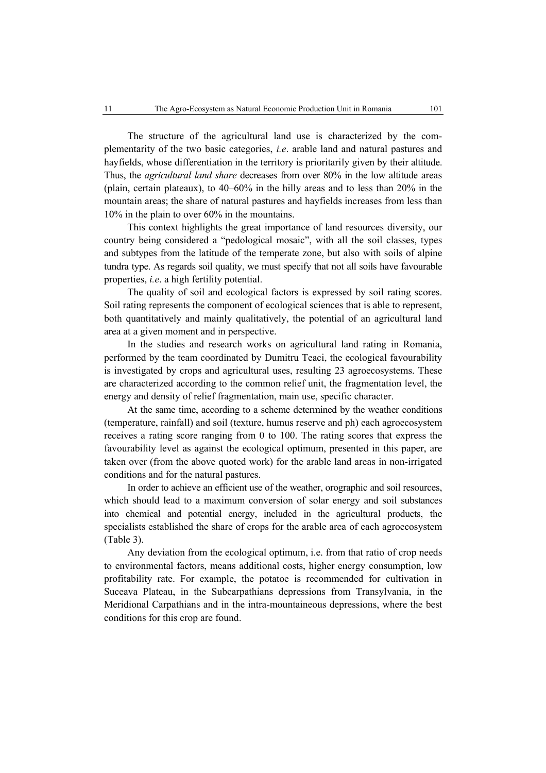The structure of the agricultural land use is characterized by the complementarity of the two basic categories, *i.e*. arable land and natural pastures and hayfields, whose differentiation in the territory is prioritarily given by their altitude. Thus, the *agricultural land share* decreases from over 80% in the low altitude areas (plain, certain plateaux), to 40–60% in the hilly areas and to less than 20% in the mountain areas; the share of natural pastures and hayfields increases from less than 10% in the plain to over 60% in the mountains.

This context highlights the great importance of land resources diversity, our country being considered a "pedological mosaic", with all the soil classes, types and subtypes from the latitude of the temperate zone, but also with soils of alpine tundra type. As regards soil quality, we must specify that not all soils have favourable properties, *i.e*. a high fertility potential.

The quality of soil and ecological factors is expressed by soil rating scores. Soil rating represents the component of ecological sciences that is able to represent, both quantitatively and mainly qualitatively, the potential of an agricultural land area at a given moment and in perspective.

In the studies and research works on agricultural land rating in Romania, performed by the team coordinated by Dumitru Teaci, the ecological favourability is investigated by crops and agricultural uses, resulting 23 agroecosystems. These are characterized according to the common relief unit, the fragmentation level, the energy and density of relief fragmentation, main use, specific character.

At the same time, according to a scheme determined by the weather conditions (temperature, rainfall) and soil (texture, humus reserve and ph) each agroecosystem receives a rating score ranging from 0 to 100. The rating scores that express the favourability level as against the ecological optimum, presented in this paper, are taken over (from the above quoted work) for the arable land areas in non-irrigated conditions and for the natural pastures.

In order to achieve an efficient use of the weather, orographic and soil resources, which should lead to a maximum conversion of solar energy and soil substances into chemical and potential energy, included in the agricultural products, the specialists established the share of crops for the arable area of each agroecosystem (Table 3).

Any deviation from the ecological optimum, i.e. from that ratio of crop needs to environmental factors, means additional costs, higher energy consumption, low profitability rate. For example, the potatoe is recommended for cultivation in Suceava Plateau, in the Subcarpathians depressions from Transylvania, in the Meridional Carpathians and in the intra-mountaineous depressions, where the best conditions for this crop are found.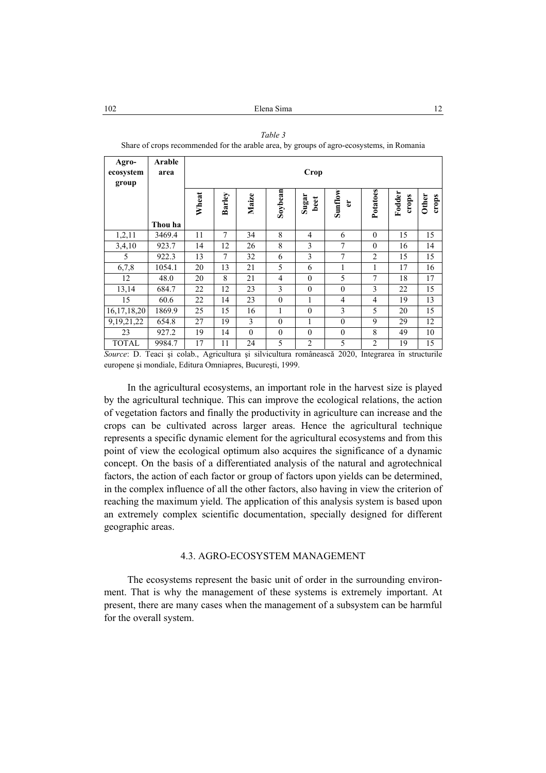*Table 3* 

Share of crops recommended for the arable area, by groups of agro-ecosystems, in Romania **Agro-Arable ecosystem area** Crop **group Potatoes Soybean Fodder crops Wheat Barley Sunflow** Potatoes **Maize Sugar beet Other crops er Thou ha**  1,2,11 | 3469.4 | 11 | 7 | 34 | 8 | 4 | 6 | 0 | 15 | 15 3,4,10 | 923.7 | 14 | 12 | 26 | 8 | 3 | 7 | 0 | 16 | 14

5 922.3 13 7 32 6 3 7 2 15 15 6,7,8 | 1054.1 | 20 | 13 | 21 | 5 | 6 | 1 | 1 | 17 | 16 12 48.0 20 8 21 4 0 5 7 18 17 13,14 | 684.7 | 22 | 12 | 23 | 3 | 0 | 0 | 3 | 22 | 15 15 60.6 22 14 23 0 1 4 4 4 19 13 16,17,18,20 1869.9 25 15 16 1 0 3 5 20 15 9,19,21,22 | 654.8 | 27 | 19 | 3 | 0 | 1 | 0 | 9 | 29 | 12 23 927.2 19 14 0 0 0 0 8 49 10

| TOTAL   9984.7   17   11   24   5                                                                  |  |  |  |  |  |  |  |  |  |  |
|----------------------------------------------------------------------------------------------------|--|--|--|--|--|--|--|--|--|--|
| Source: D. Teaci și colab., Agricultura și silvicultura românească 2020, Integrarea în structurile |  |  |  |  |  |  |  |  |  |  |
| europene și mondiale, Editura Omniapres, București, 1999.                                          |  |  |  |  |  |  |  |  |  |  |

In the agricultural ecosystems, an important role in the harvest size is played by the agricultural technique. This can improve the ecological relations, the action of vegetation factors and finally the productivity in agriculture can increase and the crops can be cultivated across larger areas. Hence the agricultural technique represents a specific dynamic element for the agricultural ecosystems and from this point of view the ecological optimum also acquires the significance of a dynamic concept. On the basis of a differentiated analysis of the natural and agrotechnical factors, the action of each factor or group of factors upon yields can be determined, in the complex influence of all the other factors, also having in view the criterion of reaching the maximum yield. The application of this analysis system is based upon an extremely complex scientific documentation, specially designed for different geographic areas.

#### 4.3. AGRO-ECOSYSTEM MANAGEMENT

The ecosystems represent the basic unit of order in the surrounding environment. That is why the management of these systems is extremely important. At present, there are many cases when the management of a subsystem can be harmful for the overall system.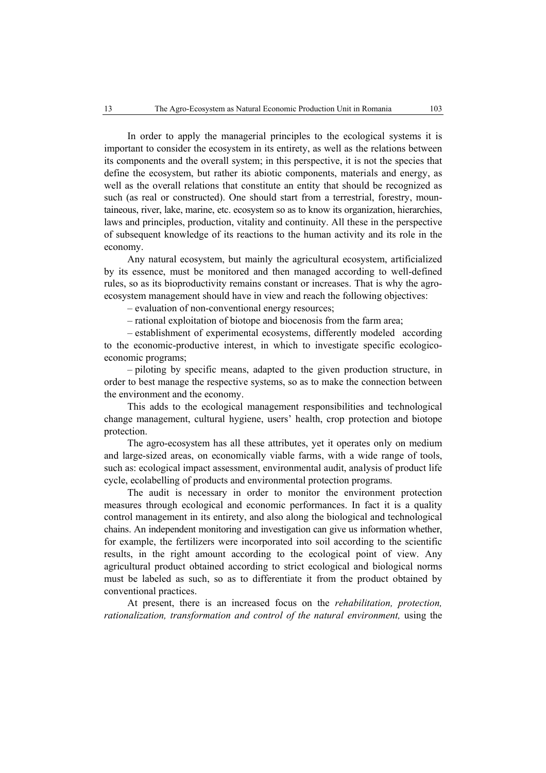In order to apply the managerial principles to the ecological systems it is important to consider the ecosystem in its entirety, as well as the relations between its components and the overall system; in this perspective, it is not the species that define the ecosystem, but rather its abiotic components, materials and energy, as well as the overall relations that constitute an entity that should be recognized as such (as real or constructed). One should start from a terrestrial, forestry, mountaineous, river, lake, marine, etc. ecosystem so as to know its organization, hierarchies, laws and principles, production, vitality and continuity. All these in the perspective of subsequent knowledge of its reactions to the human activity and its role in the economy.

Any natural ecosystem, but mainly the agricultural ecosystem, artificialized by its essence, must be monitored and then managed according to well-defined rules, so as its bioproductivity remains constant or increases. That is why the agroecosystem management should have in view and reach the following objectives:

– evaluation of non-conventional energy resources;

– rational exploitation of biotope and biocenosis from the farm area;

– establishment of experimental ecosystems, differently modeled according to the economic-productive interest, in which to investigate specific ecologicoeconomic programs;

– piloting by specific means, adapted to the given production structure, in order to best manage the respective systems, so as to make the connection between the environment and the economy.

This adds to the ecological management responsibilities and technological change management, cultural hygiene, users' health, crop protection and biotope protection.

The agro-ecosystem has all these attributes, yet it operates only on medium and large-sized areas, on economically viable farms, with a wide range of tools, such as: ecological impact assessment, environmental audit, analysis of product life cycle, ecolabelling of products and environmental protection programs.

The audit is necessary in order to monitor the environment protection measures through ecological and economic performances. In fact it is a quality control management in its entirety, and also along the biological and technological chains. An independent monitoring and investigation can give us information whether, for example, the fertilizers were incorporated into soil according to the scientific results, in the right amount according to the ecological point of view. Any agricultural product obtained according to strict ecological and biological norms must be labeled as such, so as to differentiate it from the product obtained by conventional practices.

At present, there is an increased focus on the *rehabilitation, protection, rationalization, transformation and control of the natural environment,* using the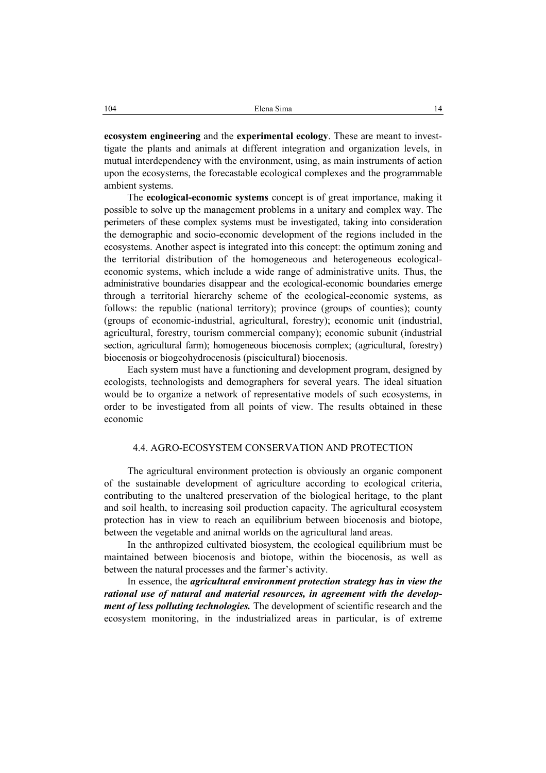**ecosystem engineering** and the **experimental ecology**. These are meant to investtigate the plants and animals at different integration and organization levels, in mutual interdependency with the environment, using, as main instruments of action upon the ecosystems, the forecastable ecological complexes and the programmable ambient systems.

The **ecological-economic systems** concept is of great importance, making it possible to solve up the management problems in a unitary and complex way. The perimeters of these complex systems must be investigated, taking into consideration the demographic and socio-economic development of the regions included in the ecosystems. Another aspect is integrated into this concept: the optimum zoning and the territorial distribution of the homogeneous and heterogeneous ecologicaleconomic systems, which include a wide range of administrative units. Thus, the administrative boundaries disappear and the ecological-economic boundaries emerge through a territorial hierarchy scheme of the ecological-economic systems, as follows: the republic (national territory); province (groups of counties); county (groups of economic-industrial, agricultural, forestry); economic unit (industrial, agricultural, forestry, tourism commercial company); economic subunit (industrial section, agricultural farm); homogeneous biocenosis complex; (agricultural, forestry) biocenosis or biogeohydrocenosis (piscicultural) biocenosis.

Each system must have a functioning and development program, designed by ecologists, technologists and demographers for several years. The ideal situation would be to organize a network of representative models of such ecosystems, in order to be investigated from all points of view. The results obtained in these economic

### 4.4. AGRO-ECOSYSTEM CONSERVATION AND PROTECTION

The agricultural environment protection is obviously an organic component of the sustainable development of agriculture according to ecological criteria, contributing to the unaltered preservation of the biological heritage, to the plant and soil health, to increasing soil production capacity. The agricultural ecosystem protection has in view to reach an equilibrium between biocenosis and biotope, between the vegetable and animal worlds on the agricultural land areas.

In the anthropized cultivated biosystem, the ecological equilibrium must be maintained between biocenosis and biotope, within the biocenosis, as well as between the natural processes and the farmer's activity.

In essence, the *agricultural environment protection strategy has in view the rational use of natural and material resources, in agreement with the development of less polluting technologies.* The development of scientific research and the ecosystem monitoring, in the industrialized areas in particular, is of extreme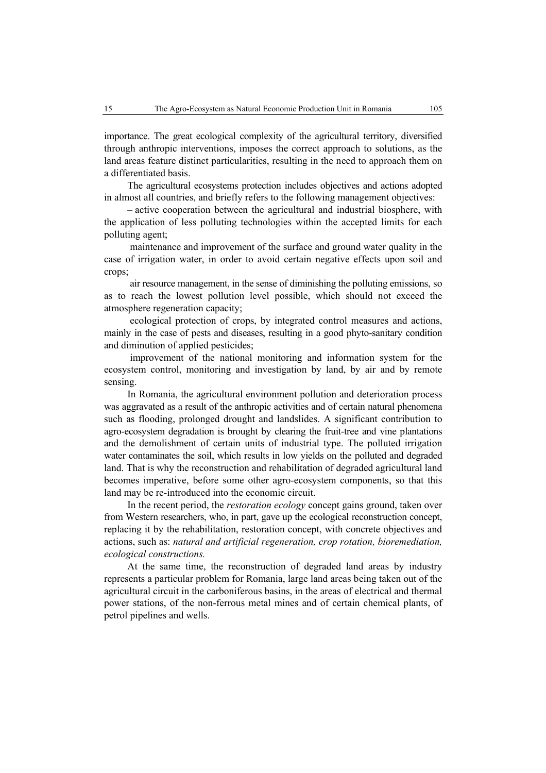importance. The great ecological complexity of the agricultural territory, diversified through anthropic interventions, imposes the correct approach to solutions, as the land areas feature distinct particularities, resulting in the need to approach them on a differentiated basis.

The agricultural ecosystems protection includes objectives and actions adopted in almost all countries, and briefly refers to the following management objectives:

– active cooperation between the agricultural and industrial biosphere, with the application of less polluting technologies within the accepted limits for each polluting agent;

 maintenance and improvement of the surface and ground water quality in the case of irrigation water, in order to avoid certain negative effects upon soil and crops;

 air resource management, in the sense of diminishing the polluting emissions, so as to reach the lowest pollution level possible, which should not exceed the atmosphere regeneration capacity;

 ecological protection of crops, by integrated control measures and actions, mainly in the case of pests and diseases, resulting in a good phyto-sanitary condition and diminution of applied pesticides;

 improvement of the national monitoring and information system for the ecosystem control, monitoring and investigation by land, by air and by remote sensing.

In Romania, the agricultural environment pollution and deterioration process was aggravated as a result of the anthropic activities and of certain natural phenomena such as flooding, prolonged drought and landslides. A significant contribution to agro-ecosystem degradation is brought by clearing the fruit-tree and vine plantations and the demolishment of certain units of industrial type. The polluted irrigation water contaminates the soil, which results in low yields on the polluted and degraded land. That is why the reconstruction and rehabilitation of degraded agricultural land becomes imperative, before some other agro-ecosystem components, so that this land may be re-introduced into the economic circuit.

In the recent period, the *restoration ecology* concept gains ground, taken over from Western researchers, who, in part, gave up the ecological reconstruction concept, replacing it by the rehabilitation, restoration concept, with concrete objectives and actions, such as: *natural and artificial regeneration, crop rotation, bioremediation, ecological constructions.* 

At the same time, the reconstruction of degraded land areas by industry represents a particular problem for Romania, large land areas being taken out of the agricultural circuit in the carboniferous basins, in the areas of electrical and thermal power stations, of the non-ferrous metal mines and of certain chemical plants, of petrol pipelines and wells.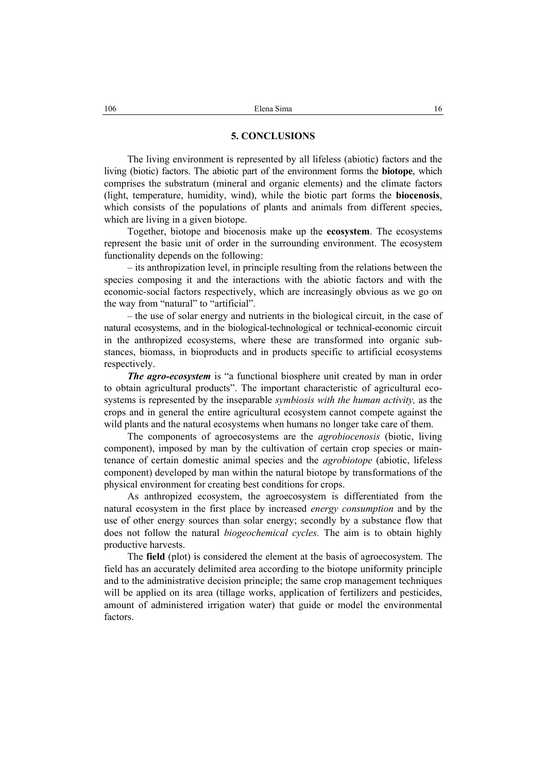#### **5. CONCLUSIONS**

The living environment is represented by all lifeless (abiotic) factors and the living (biotic) factors. The abiotic part of the environment forms the **biotope**, which comprises the substratum (mineral and organic elements) and the climate factors (light, temperature, humidity, wind), while the biotic part forms the **biocenosis**, which consists of the populations of plants and animals from different species, which are living in a given biotope.

Together, biotope and biocenosis make up the **ecosystem**. The ecosystems represent the basic unit of order in the surrounding environment. The ecosystem functionality depends on the following:

– its anthropization level, in principle resulting from the relations between the species composing it and the interactions with the abiotic factors and with the economic-social factors respectively, which are increasingly obvious as we go on the way from "natural" to "artificial".

– the use of solar energy and nutrients in the biological circuit, in the case of natural ecosystems, and in the biological-technological or technical-economic circuit in the anthropized ecosystems, where these are transformed into organic substances, biomass, in bioproducts and in products specific to artificial ecosystems respectively.

*The agro-ecosystem* is "a functional biosphere unit created by man in order to obtain agricultural products". The important characteristic of agricultural ecosystems is represented by the inseparable *symbiosis with the human activity,* as the crops and in general the entire agricultural ecosystem cannot compete against the wild plants and the natural ecosystems when humans no longer take care of them.

The components of agroecosystems are the *agrobiocenosis* (biotic, living component), imposed by man by the cultivation of certain crop species or maintenance of certain domestic animal species and the *agrobiotope* (abiotic, lifeless component) developed by man within the natural biotope by transformations of the physical environment for creating best conditions for crops.

As anthropized ecosystem, the agroecosystem is differentiated from the natural ecosystem in the first place by increased *energy consumption* and by the use of other energy sources than solar energy; secondly by a substance flow that does not follow the natural *biogeochemical cycles.* The aim is to obtain highly productive harvests.

The **field** (plot) is considered the element at the basis of agroecosystem. The field has an accurately delimited area according to the biotope uniformity principle and to the administrative decision principle; the same crop management techniques will be applied on its area (tillage works, application of fertilizers and pesticides, amount of administered irrigation water) that guide or model the environmental factors.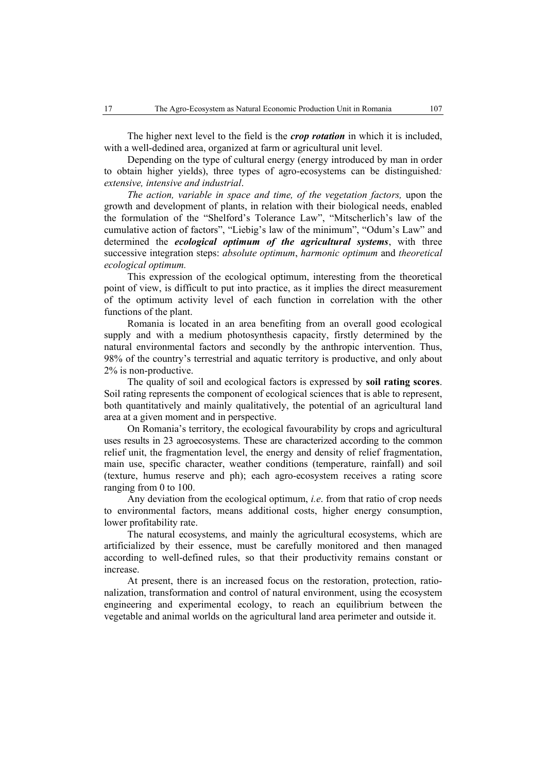The higher next level to the field is the *crop rotation* in which it is included, with a well-dedined area, organized at farm or agricultural unit level.

Depending on the type of cultural energy (energy introduced by man in order to obtain higher yields), three types of agro-ecosystems can be distinguished*: extensive, intensive and industrial*.

*The action, variable in space and time, of the vegetation factors,* upon the growth and development of plants, in relation with their biological needs, enabled the formulation of the "Shelford's Tolerance Law", "Mitscherlich's law of the cumulative action of factors", "Liebig's law of the minimum", "Odum's Law" and determined the *ecological optimum of the agricultural systems*, with three successive integration steps: *absolute optimum*, *harmonic optimum* and *theoretical ecological optimum.*

This expression of the ecological optimum, interesting from the theoretical point of view, is difficult to put into practice, as it implies the direct measurement of the optimum activity level of each function in correlation with the other functions of the plant.

Romania is located in an area benefiting from an overall good ecological supply and with a medium photosynthesis capacity, firstly determined by the natural environmental factors and secondly by the anthropic intervention. Thus, 98% of the country's terrestrial and aquatic territory is productive, and only about 2% is non-productive.

The quality of soil and ecological factors is expressed by **soil rating scores**. Soil rating represents the component of ecological sciences that is able to represent, both quantitatively and mainly qualitatively, the potential of an agricultural land area at a given moment and in perspective.

On Romania's territory, the ecological favourability by crops and agricultural uses results in 23 agroecosystems. These are characterized according to the common relief unit, the fragmentation level, the energy and density of relief fragmentation, main use, specific character, weather conditions (temperature, rainfall) and soil (texture, humus reserve and ph); each agro-ecosystem receives a rating score ranging from 0 to 100.

Any deviation from the ecological optimum, *i.e*. from that ratio of crop needs to environmental factors, means additional costs, higher energy consumption, lower profitability rate.

The natural ecosystems, and mainly the agricultural ecosystems, which are artificialized by their essence, must be carefully monitored and then managed according to well-defined rules, so that their productivity remains constant or increase.

At present, there is an increased focus on the restoration, protection, rationalization, transformation and control of natural environment, using the ecosystem engineering and experimental ecology, to reach an equilibrium between the vegetable and animal worlds on the agricultural land area perimeter and outside it.